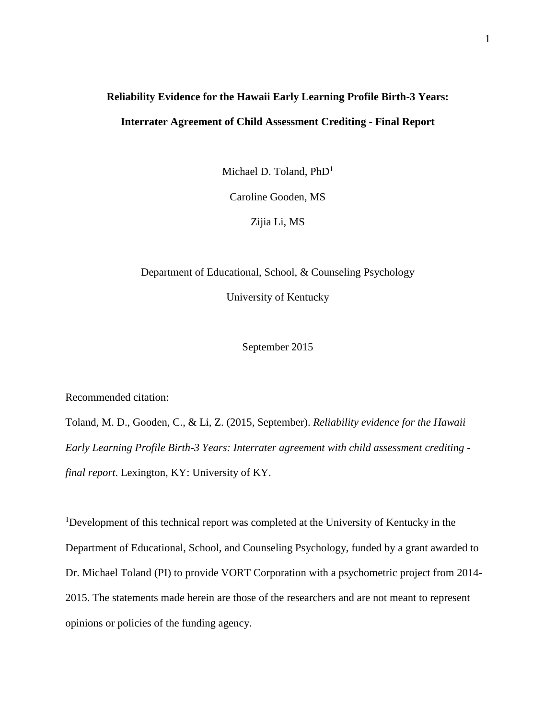# **Reliability Evidence for the Hawaii Early Learning Profile Birth-3 Years: Interrater Agreement of Child Assessment Crediting - Final Report**

Michael D. Toland, PhD<sup>1</sup>

Caroline Gooden, MS

Zijia Li, MS

Department of Educational, School, & Counseling Psychology University of Kentucky

September 2015

Recommended citation:

Toland, M. D., Gooden, C., & Li, Z. (2015, September). *Reliability evidence for the Hawaii Early Learning Profile Birth-3 Years: Interrater agreement with child assessment crediting final report*. Lexington, KY: University of KY.

<sup>1</sup>Development of this technical report was completed at the University of Kentucky in the Department of Educational, School, and Counseling Psychology, funded by a grant awarded to Dr. Michael Toland (PI) to provide VORT Corporation with a psychometric project from 2014- 2015. The statements made herein are those of the researchers and are not meant to represent opinions or policies of the funding agency.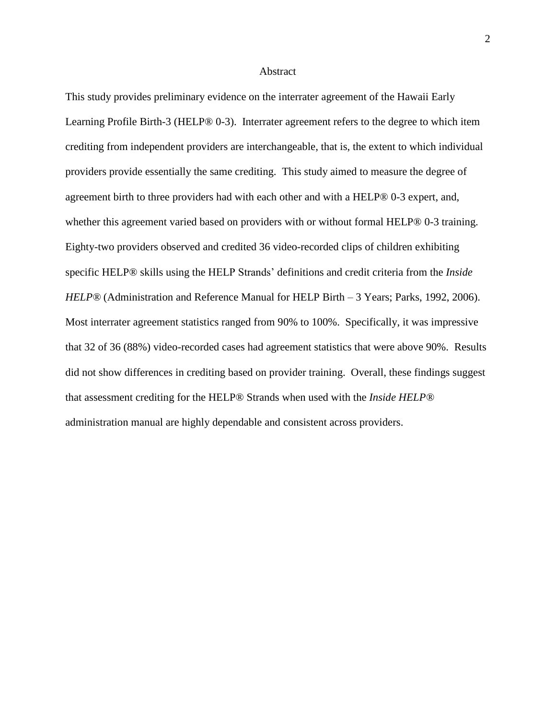#### Abstract

This study provides preliminary evidence on the interrater agreement of the Hawaii Early Learning Profile Birth-3 (HELP® 0-3). Interrater agreement refers to the degree to which item crediting from independent providers are interchangeable, that is, the extent to which individual providers provide essentially the same crediting. This study aimed to measure the degree of agreement birth to three providers had with each other and with a HELP® 0-3 expert, and, whether this agreement varied based on providers with or without formal HELP® 0-3 training. Eighty-two providers observed and credited 36 video-recorded clips of children exhibiting specific HELP® skills using the HELP Strands' definitions and credit criteria from the *Inside HELP®* (Administration and Reference Manual for HELP Birth – 3 Years; Parks, 1992, 2006). Most interrater agreement statistics ranged from 90% to 100%. Specifically, it was impressive that 32 of 36 (88%) video-recorded cases had agreement statistics that were above 90%. Results did not show differences in crediting based on provider training. Overall, these findings suggest that assessment crediting for the HELP® Strands when used with the *Inside HELP®* administration manual are highly dependable and consistent across providers.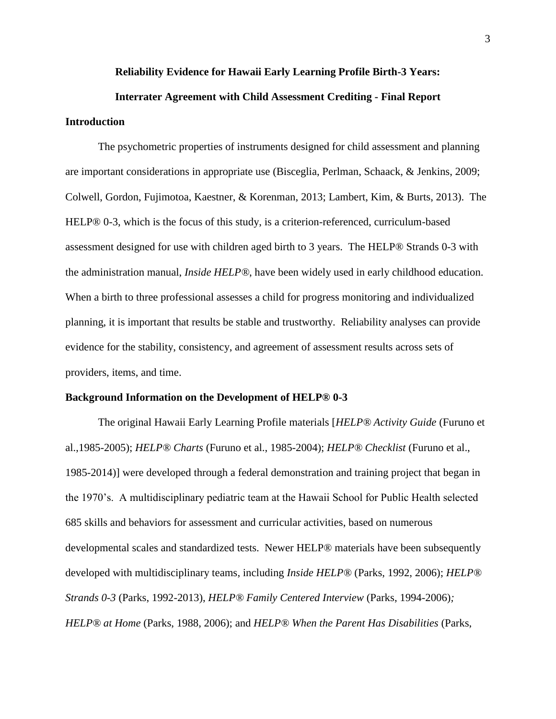#### **Reliability Evidence for Hawaii Early Learning Profile Birth-3 Years:**

# **Interrater Agreement with Child Assessment Crediting - Final Report Introduction**

The psychometric properties of instruments designed for child assessment and planning are important considerations in appropriate use (Bisceglia, Perlman, Schaack, & Jenkins, 2009; Colwell, Gordon, Fujimotoa, Kaestner, & Korenman, 2013; Lambert, Kim, & Burts, 2013). The HELP® 0-3, which is the focus of this study, is a criterion-referenced, curriculum-based assessment designed for use with children aged birth to 3 years. The HELP® Strands 0-3 with the administration manual, *Inside HELP®*, have been widely used in early childhood education. When a birth to three professional assesses a child for progress monitoring and individualized planning, it is important that results be stable and trustworthy. Reliability analyses can provide evidence for the stability, consistency, and agreement of assessment results across sets of providers, items, and time.

## **Background Information on the Development of HELP® 0-3**

The original Hawaii Early Learning Profile materials [*HELP® Activity Guide* (Furuno et al.,1985-2005); *HELP® Charts* (Furuno et al., 1985-2004); *HELP® Checklist* (Furuno et al., 1985-2014)] were developed through a federal demonstration and training project that began in the 1970's. A multidisciplinary pediatric team at the Hawaii School for Public Health selected 685 skills and behaviors for assessment and curricular activities, based on numerous developmental scales and standardized tests. Newer HELP® materials have been subsequently developed with multidisciplinary teams, including *Inside HELP®* (Parks, 1992, 2006); *HELP® Strands 0-3* (Parks, 1992-2013), *HELP® Family Centered Interview* (Parks, 1994-2006)*; HELP® at Home* (Parks, 1988, 2006); and *HELP® When the Parent Has Disabilities* (Parks,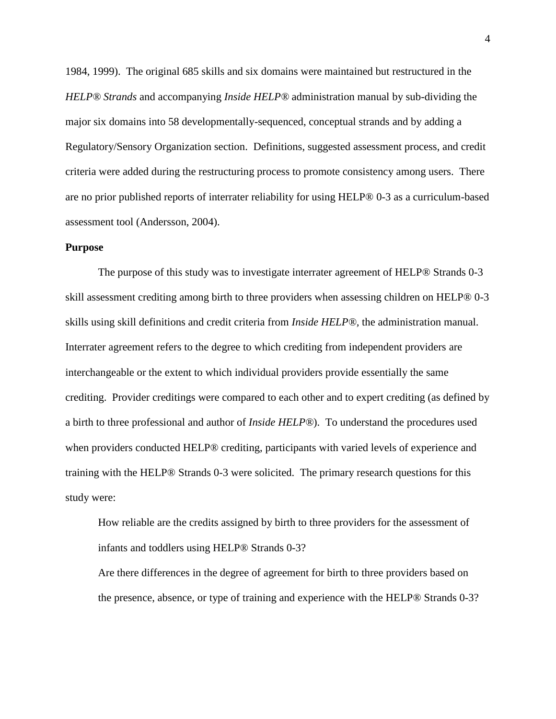1984, 1999). The original 685 skills and six domains were maintained but restructured in the *HELP® Strands* and accompanying *Inside HELP®* administration manual by sub-dividing the major six domains into 58 developmentally-sequenced, conceptual strands and by adding a Regulatory/Sensory Organization section. Definitions, suggested assessment process, and credit criteria were added during the restructuring process to promote consistency among users. There are no prior published reports of interrater reliability for using HELP® 0-3 as a curriculum-based assessment tool (Andersson, 2004).

## **Purpose**

The purpose of this study was to investigate interrater agreement of HELP® Strands 0-3 skill assessment crediting among birth to three providers when assessing children on HELP® 0-3 skills using skill definitions and credit criteria from *Inside HELP®,* the administration manual. Interrater agreement refers to the degree to which crediting from independent providers are interchangeable or the extent to which individual providers provide essentially the same crediting. Provider creditings were compared to each other and to expert crediting (as defined by a birth to three professional and author of *Inside HELP®*). To understand the procedures used when providers conducted HELP<sup>®</sup> crediting, participants with varied levels of experience and training with the HELP® Strands 0-3 were solicited. The primary research questions for this study were:

How reliable are the credits assigned by birth to three providers for the assessment of infants and toddlers using HELP® Strands 0-3?

Are there differences in the degree of agreement for birth to three providers based on the presence, absence, or type of training and experience with the HELP® Strands 0-3?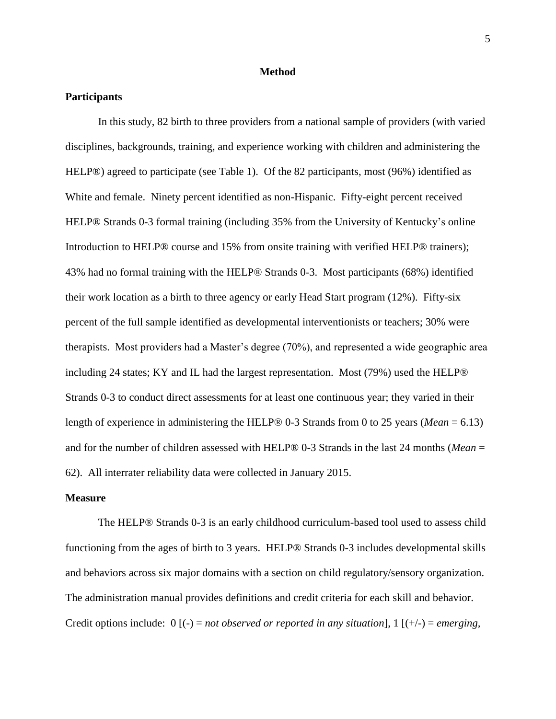#### **Method**

## **Participants**

In this study, 82 birth to three providers from a national sample of providers (with varied disciplines, backgrounds, training, and experience working with children and administering the HELP®) agreed to participate (see Table 1). Of the 82 participants, most (96%) identified as White and female. Ninety percent identified as non-Hispanic. Fifty-eight percent received HELP® Strands 0-3 formal training (including 35% from the University of Kentucky's online Introduction to HELP® course and 15% from onsite training with verified HELP® trainers); 43% had no formal training with the HELP® Strands 0-3. Most participants (68%) identified their work location as a birth to three agency or early Head Start program (12%). Fifty-six percent of the full sample identified as developmental interventionists or teachers; 30% were therapists. Most providers had a Master's degree (70%), and represented a wide geographic area including 24 states; KY and IL had the largest representation. Most (79%) used the HELP® Strands 0-3 to conduct direct assessments for at least one continuous year; they varied in their length of experience in administering the HELP® 0-3 Strands from 0 to 25 years (*Mean* = 6.13) and for the number of children assessed with HELP® 0-3 Strands in the last 24 months (*Mean* = 62). All interrater reliability data were collected in January 2015.

## **Measure**

The HELP® Strands 0-3 is an early childhood curriculum-based tool used to assess child functioning from the ages of birth to 3 years. HELP® Strands 0-3 includes developmental skills and behaviors across six major domains with a section on child regulatory/sensory organization. The administration manual provides definitions and credit criteria for each skill and behavior. Credit options include:  $0$  [(-) = *not observed or reported in any situation*], 1 [(+/-) = *emerging*,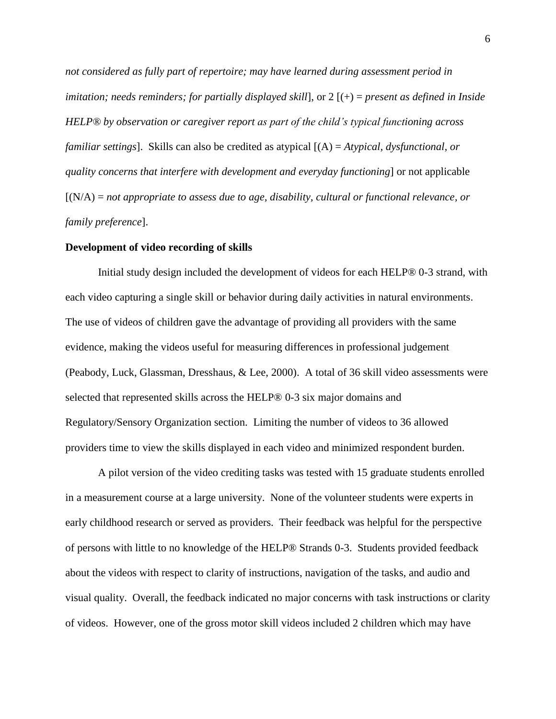*not considered as fully part of repertoire; may have learned during assessment period in imitation; needs reminders; for partially displayed skill*], or 2 [(+) = *present as defined in Inside HELP® by observation or caregiver report as part of the child's typical functioning across familiar settings*]. Skills can also be credited as atypical [(A) = *Atypical, dysfunctional, or quality concerns that interfere with development and everyday functioning*] or not applicable [(N/A) = *not appropriate to assess due to age, disability, cultural or functional relevance, or family preference*].

#### **Development of video recording of skills**

Initial study design included the development of videos for each HELP® 0-3 strand, with each video capturing a single skill or behavior during daily activities in natural environments. The use of videos of children gave the advantage of providing all providers with the same evidence, making the videos useful for measuring differences in professional judgement (Peabody, Luck, Glassman, Dresshaus, & Lee, 2000). A total of 36 skill video assessments were selected that represented skills across the HELP® 0-3 six major domains and Regulatory/Sensory Organization section. Limiting the number of videos to 36 allowed providers time to view the skills displayed in each video and minimized respondent burden.

A pilot version of the video crediting tasks was tested with 15 graduate students enrolled in a measurement course at a large university. None of the volunteer students were experts in early childhood research or served as providers. Their feedback was helpful for the perspective of persons with little to no knowledge of the HELP® Strands 0-3. Students provided feedback about the videos with respect to clarity of instructions, navigation of the tasks, and audio and visual quality. Overall, the feedback indicated no major concerns with task instructions or clarity of videos. However, one of the gross motor skill videos included 2 children which may have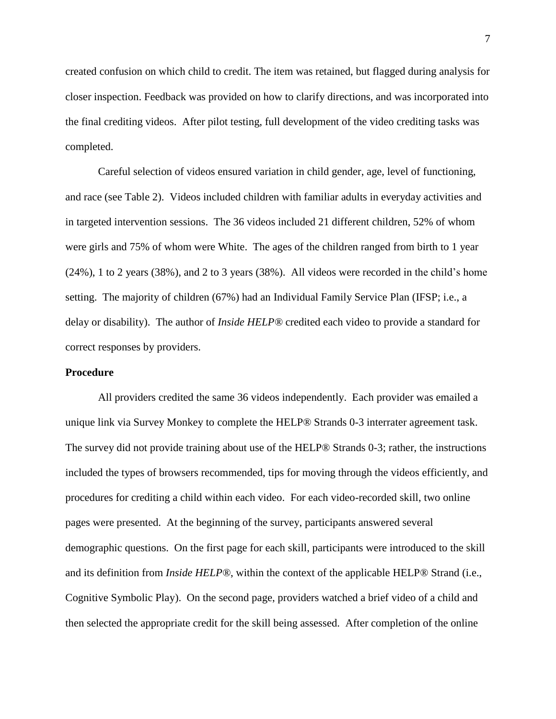created confusion on which child to credit. The item was retained, but flagged during analysis for closer inspection. Feedback was provided on how to clarify directions, and was incorporated into the final crediting videos. After pilot testing, full development of the video crediting tasks was completed.

Careful selection of videos ensured variation in child gender, age, level of functioning, and race (see Table 2). Videos included children with familiar adults in everyday activities and in targeted intervention sessions. The 36 videos included 21 different children, 52% of whom were girls and 75% of whom were White. The ages of the children ranged from birth to 1 year (24%), 1 to 2 years (38%), and 2 to 3 years (38%). All videos were recorded in the child's home setting. The majority of children (67%) had an Individual Family Service Plan (IFSP; i.e., a delay or disability). The author of *Inside HELP®* credited each video to provide a standard for correct responses by providers.

### **Procedure**

All providers credited the same 36 videos independently. Each provider was emailed a unique link via Survey Monkey to complete the HELP® Strands 0-3 interrater agreement task. The survey did not provide training about use of the HELP® Strands 0-3; rather, the instructions included the types of browsers recommended, tips for moving through the videos efficiently, and procedures for crediting a child within each video. For each video-recorded skill, two online pages were presented. At the beginning of the survey, participants answered several demographic questions. On the first page for each skill, participants were introduced to the skill and its definition from *Inside HELP®*, within the context of the applicable HELP® Strand (i.e., Cognitive Symbolic Play). On the second page, providers watched a brief video of a child and then selected the appropriate credit for the skill being assessed. After completion of the online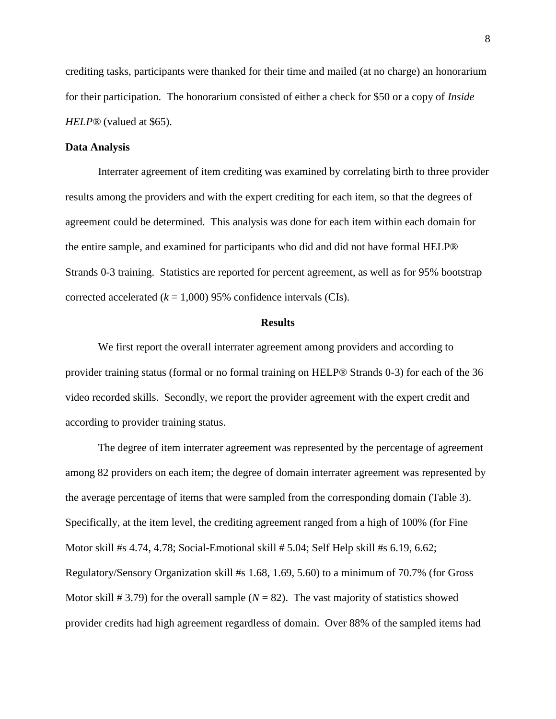crediting tasks, participants were thanked for their time and mailed (at no charge) an honorarium for their participation. The honorarium consisted of either a check for \$50 or a copy of *Inside HELP®* (valued at \$65).

## **Data Analysis**

Interrater agreement of item crediting was examined by correlating birth to three provider results among the providers and with the expert crediting for each item, so that the degrees of agreement could be determined. This analysis was done for each item within each domain for the entire sample, and examined for participants who did and did not have formal HELP® Strands 0-3 training. Statistics are reported for percent agreement, as well as for 95% bootstrap corrected accelerated  $(k = 1,000)$  95% confidence intervals (CIs).

## **Results**

We first report the overall interrater agreement among providers and according to provider training status (formal or no formal training on HELP® Strands 0-3) for each of the 36 video recorded skills. Secondly, we report the provider agreement with the expert credit and according to provider training status.

The degree of item interrater agreement was represented by the percentage of agreement among 82 providers on each item; the degree of domain interrater agreement was represented by the average percentage of items that were sampled from the corresponding domain (Table 3). Specifically, at the item level, the crediting agreement ranged from a high of 100% (for Fine Motor skill #s 4.74, 4.78; Social-Emotional skill # 5.04; Self Help skill #s 6.19, 6.62; Regulatory/Sensory Organization skill #s 1.68, 1.69, 5.60) to a minimum of 70.7% (for Gross Motor skill  $\#$  3.79) for the overall sample ( $N = 82$ ). The vast majority of statistics showed provider credits had high agreement regardless of domain. Over 88% of the sampled items had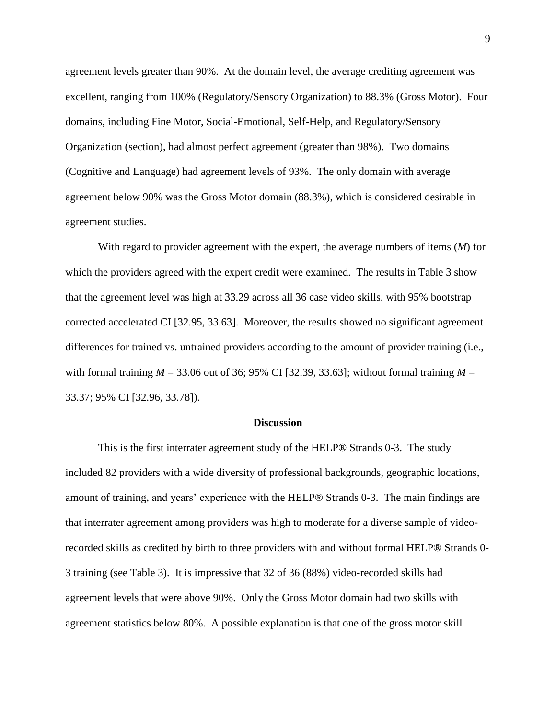agreement levels greater than 90%. At the domain level, the average crediting agreement was excellent, ranging from 100% (Regulatory/Sensory Organization) to 88.3% (Gross Motor). Four domains, including Fine Motor, Social-Emotional, Self-Help, and Regulatory/Sensory Organization (section), had almost perfect agreement (greater than 98%). Two domains (Cognitive and Language) had agreement levels of 93%. The only domain with average agreement below 90% was the Gross Motor domain (88.3%), which is considered desirable in agreement studies.

With regard to provider agreement with the expert, the average numbers of items (*M*) for which the providers agreed with the expert credit were examined. The results in Table 3 show that the agreement level was high at 33.29 across all 36 case video skills, with 95% bootstrap corrected accelerated CI [32.95, 33.63]. Moreover, the results showed no significant agreement differences for trained vs. untrained providers according to the amount of provider training (i.e., with formal training  $M = 33.06$  out of 36; 95% CI [32.39, 33.63]; without formal training  $M =$ 33.37; 95% CI [32.96, 33.78]).

#### **Discussion**

This is the first interrater agreement study of the HELP® Strands 0-3. The study included 82 providers with a wide diversity of professional backgrounds, geographic locations, amount of training, and years' experience with the HELP® Strands 0-3. The main findings are that interrater agreement among providers was high to moderate for a diverse sample of videorecorded skills as credited by birth to three providers with and without formal HELP® Strands 0- 3 training (see Table 3). It is impressive that 32 of 36 (88%) video-recorded skills had agreement levels that were above 90%. Only the Gross Motor domain had two skills with agreement statistics below 80%. A possible explanation is that one of the gross motor skill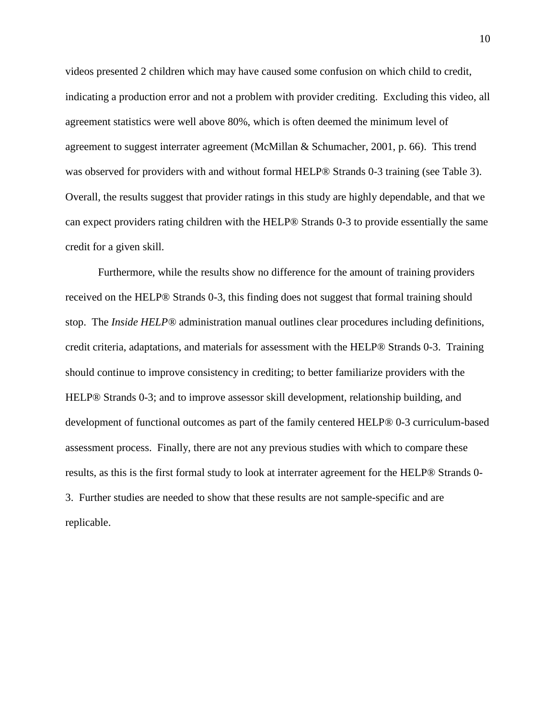videos presented 2 children which may have caused some confusion on which child to credit, indicating a production error and not a problem with provider crediting. Excluding this video, all agreement statistics were well above 80%, which is often deemed the minimum level of agreement to suggest interrater agreement (McMillan & Schumacher, 2001, p. 66). This trend was observed for providers with and without formal HELP® Strands 0-3 training (see Table 3). Overall, the results suggest that provider ratings in this study are highly dependable, and that we can expect providers rating children with the HELP® Strands 0-3 to provide essentially the same credit for a given skill.

Furthermore, while the results show no difference for the amount of training providers received on the HELP® Strands 0-3, this finding does not suggest that formal training should stop. The *Inside HELP®* administration manual outlines clear procedures including definitions, credit criteria, adaptations, and materials for assessment with the HELP® Strands 0-3. Training should continue to improve consistency in crediting; to better familiarize providers with the HELP® Strands 0-3; and to improve assessor skill development, relationship building, and development of functional outcomes as part of the family centered HELP® 0-3 curriculum-based assessment process. Finally, there are not any previous studies with which to compare these results, as this is the first formal study to look at interrater agreement for the HELP® Strands 0- 3. Further studies are needed to show that these results are not sample-specific and are replicable.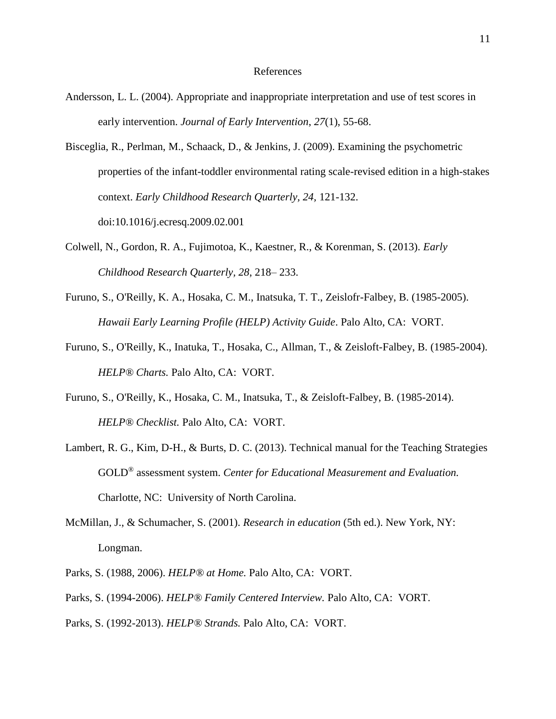#### References

- Andersson, L. L. (2004). Appropriate and inappropriate interpretation and use of test scores in early intervention. *Journal of Early Intervention*, *27*(1), 55-68.
- Bisceglia, R., Perlman, M., Schaack, D., & Jenkins, J. (2009). Examining the psychometric properties of the infant-toddler environmental rating scale-revised edition in a high-stakes context. *Early Childhood Research Quarterly, 24,* 121-132. doi:10.1016/j.ecresq.2009.02.001
- Colwell, N., Gordon, R. A., Fujimotoa, K., Kaestner, R., & Korenman, S. (2013). *Early Childhood Research Quarterly, 28*, 218– 233.
- Furuno, S., O'Reilly, K. A., Hosaka, C. M., Inatsuka, T. T., Zeislofr-Falbey, B. (1985-2005). *Hawaii Early Learning Profile (HELP) Activity Guide*. Palo Alto, CA: VORT.
- Furuno, S., O'Reilly, K., Inatuka, T., Hosaka, C., Allman, T., & Zeisloft-Falbey, B. (1985-2004). *HELP® Charts.* Palo Alto, CA: VORT.
- Furuno, S., O'Reilly, K., Hosaka, C. M., Inatsuka, T., & Zeisloft-Falbey, B. (1985-2014). *HELP® Checklist.* Palo Alto, CA: VORT.
- Lambert, R. G., Kim, D-H., & Burts, D. C. (2013). Technical manual for the Teaching Strategies GOLD® assessment system. *Center for Educational Measurement and Evaluation.* Charlotte, NC: University of North Carolina.
- McMillan, J., & Schumacher, S. (2001). *Research in education* (5th ed.). New York, NY: Longman.
- Parks, S. (1988, 2006). *HELP® at Home.* Palo Alto, CA: VORT.
- Parks, S. (1994-2006). *HELP® Family Centered Interview.* Palo Alto, CA: VORT.
- Parks, S. (1992-2013). *HELP® Strands.* Palo Alto, CA: VORT.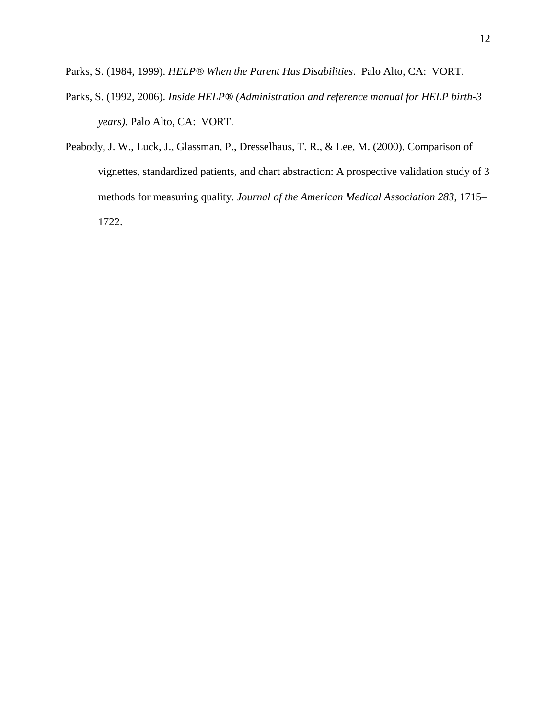Parks, S. (1984, 1999). *HELP® When the Parent Has Disabilities*. Palo Alto, CA: VORT.

- Parks, S. (1992, 2006). *Inside HELP® (Administration and reference manual for HELP birth-3 years).* Palo Alto, CA: VORT.
- Peabody, J. W., Luck, J., Glassman, P., Dresselhaus, T. R., & Lee, M. (2000). Comparison of vignettes, standardized patients, and chart abstraction: A prospective validation study of 3 methods for measuring quality. *Journal of the American Medical Association 283*, 1715– 1722.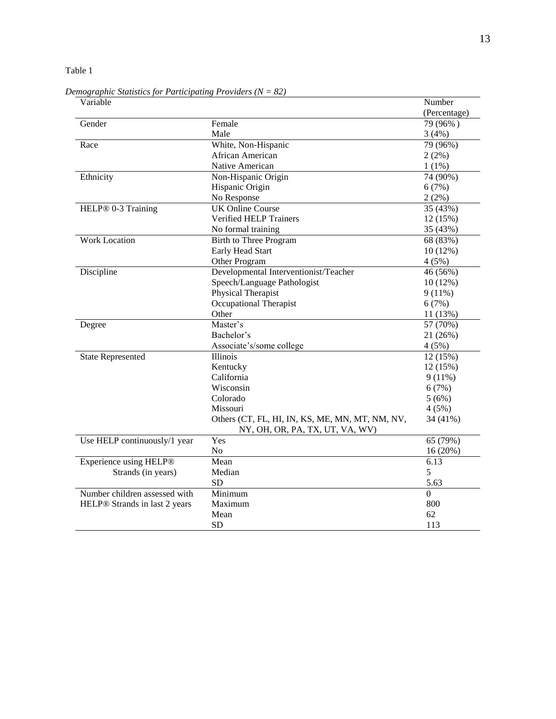Table 1

Variable Number and Australian Contract and Australian Contract and Australian Contract and Australian Contract and Australian Contract and Australian Contract and Australian Contract and Australian Contract and Australian (Percentage) Gender Female Female 79 (96%) Male  $3(4%)$ Race White, Non-Hispanic 79 (96%) African American 2 (2%) Native American 1 (1%) Ethnicity Non-Hispanic Origin 74 (90%) Hispanic Origin 6 (7%) No Response 2 (2%) HELP® 0-3 Training UK Online Course 35 (43%) Verified HELP Trainers 12 (15%) No formal training 35 (43%) Work Location Birth to Three Program 68 (83%) Early Head Start 10 (12%) Other Program  $4 (5\%)$ Discipline Developmental Interventionist/Teacher 46 (56%) Speech/Language Pathologist 10 (12%) Physical Therapist 9 (11%) Occupational Therapist 6 (7%) Other 11 (13%) Degree Master's Master's 57 (70%) Bachelor's 21 (26%) Associate's/some college 4 (5%) State Represented Illinois 12 (15%) Kentucky 12 (15%) California 9 (11%) Wisconsin 6 (7%) Colorado 5 (6%) Missouri 4 (5%) Others (CT, FL, HI, IN, KS, ME, MN, MT, NM, NV, NY, OH, OR, PA, TX, UT, VA, WV) 34 (41%) Use HELP continuously/1 year Yes  $65 (79%)$ No 16 (20%) Experience using HELP® Strands (in years) Mean 6.13 Median 5  $SD$  5.63 Number children assessed with HELP® Strands in last 2 years Minimum 0 Maximum 800 Mean  $62$  $SD$  113

*Demographic Statistics for Participating Providers (N = 82)*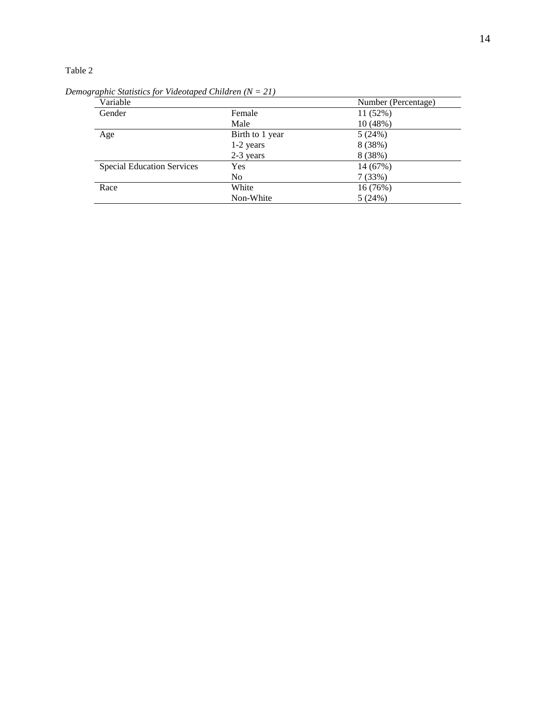## Table 2

| Variable                          |                 | Number (Percentage) |
|-----------------------------------|-----------------|---------------------|
| Gender                            | Female          | 11(52%)             |
|                                   | Male            | 10 (48%)            |
| Age                               | Birth to 1 year | 5(24%)              |
|                                   | 1-2 years       | 8 (38%)             |
|                                   | 2-3 years       | 8 (38%)             |
| <b>Special Education Services</b> | Yes             | 14 (67%)            |
|                                   | N <sub>o</sub>  | 7(33%)              |
| Race                              | White           | 16 (76%)            |
|                                   | Non-White       | 5(24%)              |

*Demographic Statistics for Videotaped Children (N = 21)*